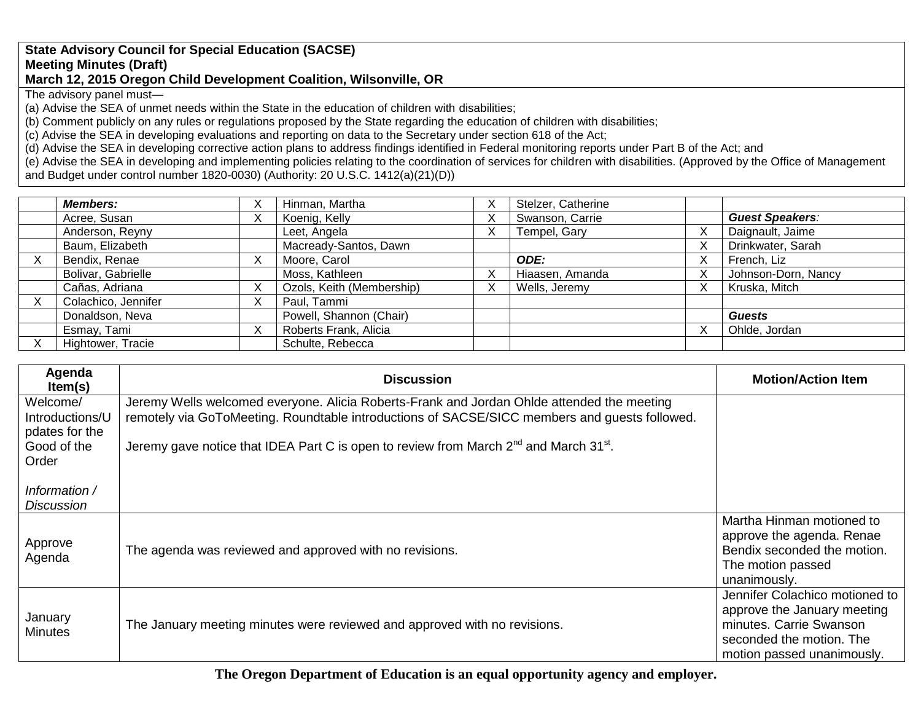## **State Advisory Council for Special Education (SACSE) Meeting Minutes (Draft) March 12, 2015 Oregon Child Development Coalition, Wilsonville, OR**

The advisory panel must—

(a) Advise the SEA of unmet needs within the State in the education of children with disabilities;

(b) Comment publicly on any rules or regulations proposed by the State regarding the education of children with disabilities;

(c) Advise the SEA in developing evaluations and reporting on data to the Secretary under section 618 of the Act;

(d) Advise the SEA in developing corrective action plans to address findings identified in Federal monitoring reports under Part B of the Act; and

(e) Advise the SEA in developing and implementing policies relating to the coordination of services for children with disabilities. (Approved by the Office of Management and Budget under control number 1820-0030) (Authority: 20 U.S.C. 1412(a)(21)(D))

| <b>Members:</b>     | ∧ | Hinman, Martha            |   | Stelzer, Catherine |                        |
|---------------------|---|---------------------------|---|--------------------|------------------------|
| Acree, Susan        | ∧ | Koenig, Kelly             | ∧ | Swanson, Carrie    | <b>Guest Speakers:</b> |
| Anderson, Reyny     |   | Leet, Angela              | Λ | Tempel, Gary       | Daignault, Jaime       |
| Baum, Elizabeth     |   | Macready-Santos, Dawn     |   |                    | Drinkwater, Sarah      |
| Bendix, Renae       | ⋏ | Moore, Carol              |   | ODE:               | French, Liz            |
| Bolivar, Gabrielle  |   | Moss, Kathleen            |   | Hiaasen, Amanda    | Johnson-Dorn, Nancy    |
| Cañas, Adriana      |   | Ozols, Keith (Membership) | ⌒ | Wells, Jeremy      | Kruska, Mitch          |
| Colachico, Jennifer | ⋏ | Paul, Tammi               |   |                    |                        |
| Donaldson, Neva     |   | Powell, Shannon (Chair)   |   |                    | <b>Guests</b>          |
| Esmay, Tami         | v | Roberts Frank, Alicia     |   |                    | Ohlde, Jordan          |
| Hightower, Tracie   |   | Schulte, Rebecca          |   |                    |                        |

| Agenda<br>Item(s)                      | <b>Discussion</b>                                                                                             | <b>Motion/Action Item</b>                                                                                                                          |
|----------------------------------------|---------------------------------------------------------------------------------------------------------------|----------------------------------------------------------------------------------------------------------------------------------------------------|
| Welcome/                               | Jeremy Wells welcomed everyone. Alicia Roberts-Frank and Jordan Ohlde attended the meeting                    |                                                                                                                                                    |
| Introductions/U                        | remotely via GoToMeeting. Roundtable introductions of SACSE/SICC members and guests followed.                 |                                                                                                                                                    |
| pdates for the<br>Good of the<br>Order | Jeremy gave notice that IDEA Part C is open to review from March 2 <sup>nd</sup> and March 31 <sup>st</sup> . |                                                                                                                                                    |
| Information /<br><b>Discussion</b>     |                                                                                                               |                                                                                                                                                    |
| Approve<br>Agenda                      | The agenda was reviewed and approved with no revisions.                                                       | Martha Hinman motioned to<br>approve the agenda. Renae<br>Bendix seconded the motion.<br>The motion passed<br>unanimously.                         |
| January<br><b>Minutes</b>              | The January meeting minutes were reviewed and approved with no revisions.                                     | Jennifer Colachico motioned to<br>approve the January meeting<br>minutes. Carrie Swanson<br>seconded the motion. The<br>motion passed unanimously. |

**The Oregon Department of Education is an equal opportunity agency and employer.**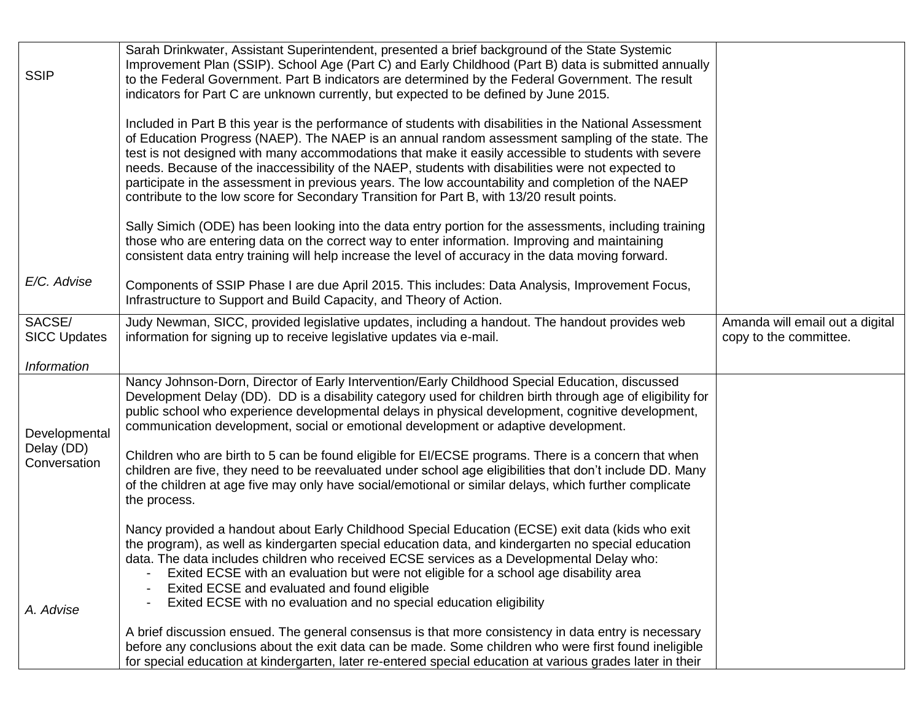| <b>SSIP</b>                   | Sarah Drinkwater, Assistant Superintendent, presented a brief background of the State Systemic<br>Improvement Plan (SSIP). School Age (Part C) and Early Childhood (Part B) data is submitted annually<br>to the Federal Government. Part B indicators are determined by the Federal Government. The result<br>indicators for Part C are unknown currently, but expected to be defined by June 2015.                                                                                                                                                                                                                           |                                                           |
|-------------------------------|--------------------------------------------------------------------------------------------------------------------------------------------------------------------------------------------------------------------------------------------------------------------------------------------------------------------------------------------------------------------------------------------------------------------------------------------------------------------------------------------------------------------------------------------------------------------------------------------------------------------------------|-----------------------------------------------------------|
|                               | Included in Part B this year is the performance of students with disabilities in the National Assessment<br>of Education Progress (NAEP). The NAEP is an annual random assessment sampling of the state. The<br>test is not designed with many accommodations that make it easily accessible to students with severe<br>needs. Because of the inaccessibility of the NAEP, students with disabilities were not expected to<br>participate in the assessment in previous years. The low accountability and completion of the NAEP<br>contribute to the low score for Secondary Transition for Part B, with 13/20 result points. |                                                           |
|                               | Sally Simich (ODE) has been looking into the data entry portion for the assessments, including training<br>those who are entering data on the correct way to enter information. Improving and maintaining<br>consistent data entry training will help increase the level of accuracy in the data moving forward.                                                                                                                                                                                                                                                                                                               |                                                           |
| E/C. Advise                   | Components of SSIP Phase I are due April 2015. This includes: Data Analysis, Improvement Focus,<br>Infrastructure to Support and Build Capacity, and Theory of Action.                                                                                                                                                                                                                                                                                                                                                                                                                                                         |                                                           |
| SACSE/<br><b>SICC Updates</b> | Judy Newman, SICC, provided legislative updates, including a handout. The handout provides web<br>information for signing up to receive legislative updates via e-mail.                                                                                                                                                                                                                                                                                                                                                                                                                                                        | Amanda will email out a digital<br>copy to the committee. |
| <b>Information</b>            |                                                                                                                                                                                                                                                                                                                                                                                                                                                                                                                                                                                                                                |                                                           |
| Developmental                 | Nancy Johnson-Dorn, Director of Early Intervention/Early Childhood Special Education, discussed<br>Development Delay (DD). DD is a disability category used for children birth through age of eligibility for<br>public school who experience developmental delays in physical development, cognitive development,<br>communication development, social or emotional development or adaptive development.                                                                                                                                                                                                                      |                                                           |
| Delay (DD)<br>Conversation    | Children who are birth to 5 can be found eligible for EI/ECSE programs. There is a concern that when<br>children are five, they need to be reevaluated under school age eligibilities that don't include DD. Many<br>of the children at age five may only have social/emotional or similar delays, which further complicate<br>the process.                                                                                                                                                                                                                                                                                    |                                                           |
|                               | Nancy provided a handout about Early Childhood Special Education (ECSE) exit data (kids who exit<br>the program), as well as kindergarten special education data, and kindergarten no special education<br>data. The data includes children who received ECSE services as a Developmental Delay who:<br>Exited ECSE with an evaluation but were not eligible for a school age disability area<br>Exited ECSE and evaluated and found eligible                                                                                                                                                                                  |                                                           |
| A. Advise                     | Exited ECSE with no evaluation and no special education eligibility                                                                                                                                                                                                                                                                                                                                                                                                                                                                                                                                                            |                                                           |
|                               | A brief discussion ensued. The general consensus is that more consistency in data entry is necessary<br>before any conclusions about the exit data can be made. Some children who were first found ineligible<br>for special education at kindergarten, later re-entered special education at various grades later in their                                                                                                                                                                                                                                                                                                    |                                                           |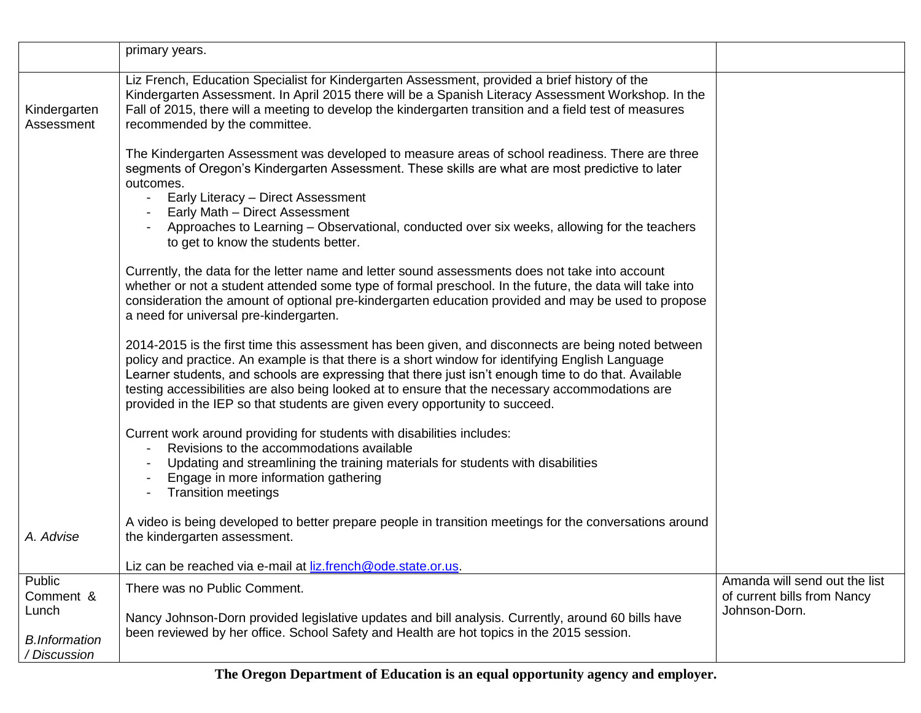|                                      | primary years.                                                                                                                                                                                                                                                                                                                                                                                                                                                                                      |                                                                               |
|--------------------------------------|-----------------------------------------------------------------------------------------------------------------------------------------------------------------------------------------------------------------------------------------------------------------------------------------------------------------------------------------------------------------------------------------------------------------------------------------------------------------------------------------------------|-------------------------------------------------------------------------------|
| Kindergarten<br>Assessment           | Liz French, Education Specialist for Kindergarten Assessment, provided a brief history of the<br>Kindergarten Assessment. In April 2015 there will be a Spanish Literacy Assessment Workshop. In the<br>Fall of 2015, there will a meeting to develop the kindergarten transition and a field test of measures<br>recommended by the committee.                                                                                                                                                     |                                                                               |
|                                      | The Kindergarten Assessment was developed to measure areas of school readiness. There are three<br>segments of Oregon's Kindergarten Assessment. These skills are what are most predictive to later<br>outcomes.                                                                                                                                                                                                                                                                                    |                                                                               |
|                                      | Early Literacy - Direct Assessment<br>Early Math - Direct Assessment<br>Approaches to Learning – Observational, conducted over six weeks, allowing for the teachers<br>to get to know the students better.                                                                                                                                                                                                                                                                                          |                                                                               |
|                                      | Currently, the data for the letter name and letter sound assessments does not take into account<br>whether or not a student attended some type of formal preschool. In the future, the data will take into<br>consideration the amount of optional pre-kindergarten education provided and may be used to propose<br>a need for universal pre-kindergarten.                                                                                                                                         |                                                                               |
|                                      | 2014-2015 is the first time this assessment has been given, and disconnects are being noted between<br>policy and practice. An example is that there is a short window for identifying English Language<br>Learner students, and schools are expressing that there just isn't enough time to do that. Available<br>testing accessibilities are also being looked at to ensure that the necessary accommodations are<br>provided in the IEP so that students are given every opportunity to succeed. |                                                                               |
|                                      | Current work around providing for students with disabilities includes:<br>Revisions to the accommodations available<br>Updating and streamlining the training materials for students with disabilities<br>Engage in more information gathering<br><b>Transition meetings</b>                                                                                                                                                                                                                        |                                                                               |
| A. Advise                            | A video is being developed to better prepare people in transition meetings for the conversations around<br>the kindergarten assessment.                                                                                                                                                                                                                                                                                                                                                             |                                                                               |
| Public                               | Liz can be reached via e-mail at liz.french@ode.state.or.us.                                                                                                                                                                                                                                                                                                                                                                                                                                        |                                                                               |
| Comment &<br>Lunch                   | There was no Public Comment.<br>Nancy Johnson-Dorn provided legislative updates and bill analysis. Currently, around 60 bills have                                                                                                                                                                                                                                                                                                                                                                  | Amanda will send out the list<br>of current bills from Nancy<br>Johnson-Dorn. |
| <b>B.Information</b><br>/ Discussion | been reviewed by her office. School Safety and Health are hot topics in the 2015 session.                                                                                                                                                                                                                                                                                                                                                                                                           |                                                                               |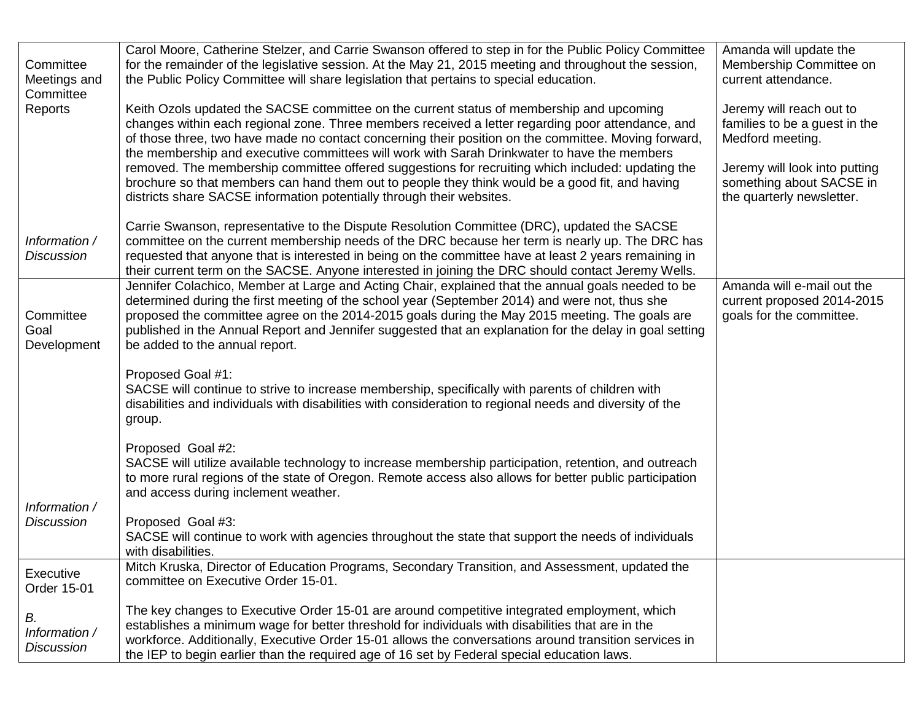| Committee<br>Meetings and<br>Committee<br>Reports | Carol Moore, Catherine Stelzer, and Carrie Swanson offered to step in for the Public Policy Committee<br>for the remainder of the legislative session. At the May 21, 2015 meeting and throughout the session,<br>the Public Policy Committee will share legislation that pertains to special education.<br>Keith Ozols updated the SACSE committee on the current status of membership and upcoming<br>changes within each regional zone. Three members received a letter regarding poor attendance, and<br>of those three, two have made no contact concerning their position on the committee. Moving forward,<br>the membership and executive committees will work with Sarah Drinkwater to have the members<br>removed. The membership committee offered suggestions for recruiting which included: updating the<br>brochure so that members can hand them out to people they think would be a good fit, and having | Amanda will update the<br>Membership Committee on<br>current attendance.<br>Jeremy will reach out to<br>families to be a guest in the<br>Medford meeting.<br>Jeremy will look into putting<br>something about SACSE in |
|---------------------------------------------------|--------------------------------------------------------------------------------------------------------------------------------------------------------------------------------------------------------------------------------------------------------------------------------------------------------------------------------------------------------------------------------------------------------------------------------------------------------------------------------------------------------------------------------------------------------------------------------------------------------------------------------------------------------------------------------------------------------------------------------------------------------------------------------------------------------------------------------------------------------------------------------------------------------------------------|------------------------------------------------------------------------------------------------------------------------------------------------------------------------------------------------------------------------|
| Information /<br><b>Discussion</b>                | districts share SACSE information potentially through their websites.<br>Carrie Swanson, representative to the Dispute Resolution Committee (DRC), updated the SACSE<br>committee on the current membership needs of the DRC because her term is nearly up. The DRC has<br>requested that anyone that is interested in being on the committee have at least 2 years remaining in<br>their current term on the SACSE. Anyone interested in joining the DRC should contact Jeremy Wells.                                                                                                                                                                                                                                                                                                                                                                                                                                   | the quarterly newsletter.                                                                                                                                                                                              |
| Committee<br>Goal<br>Development                  | Jennifer Colachico, Member at Large and Acting Chair, explained that the annual goals needed to be<br>determined during the first meeting of the school year (September 2014) and were not, thus she<br>proposed the committee agree on the 2014-2015 goals during the May 2015 meeting. The goals are<br>published in the Annual Report and Jennifer suggested that an explanation for the delay in goal setting<br>be added to the annual report.                                                                                                                                                                                                                                                                                                                                                                                                                                                                      | Amanda will e-mail out the<br>current proposed 2014-2015<br>goals for the committee.                                                                                                                                   |
|                                                   | Proposed Goal #1:<br>SACSE will continue to strive to increase membership, specifically with parents of children with<br>disabilities and individuals with disabilities with consideration to regional needs and diversity of the<br>group.                                                                                                                                                                                                                                                                                                                                                                                                                                                                                                                                                                                                                                                                              |                                                                                                                                                                                                                        |
| Information /                                     | Proposed Goal #2:<br>SACSE will utilize available technology to increase membership participation, retention, and outreach<br>to more rural regions of the state of Oregon. Remote access also allows for better public participation<br>and access during inclement weather.                                                                                                                                                                                                                                                                                                                                                                                                                                                                                                                                                                                                                                            |                                                                                                                                                                                                                        |
| <b>Discussion</b>                                 | Proposed Goal #3:<br>SACSE will continue to work with agencies throughout the state that support the needs of individuals<br>with disabilities.                                                                                                                                                                                                                                                                                                                                                                                                                                                                                                                                                                                                                                                                                                                                                                          |                                                                                                                                                                                                                        |
| Executive<br>Order 15-01                          | Mitch Kruska, Director of Education Programs, Secondary Transition, and Assessment, updated the<br>committee on Executive Order 15-01.                                                                                                                                                                                                                                                                                                                                                                                                                                                                                                                                                                                                                                                                                                                                                                                   |                                                                                                                                                                                                                        |
| В.<br>Information /<br><b>Discussion</b>          | The key changes to Executive Order 15-01 are around competitive integrated employment, which<br>establishes a minimum wage for better threshold for individuals with disabilities that are in the<br>workforce. Additionally, Executive Order 15-01 allows the conversations around transition services in<br>the IEP to begin earlier than the required age of 16 set by Federal special education laws.                                                                                                                                                                                                                                                                                                                                                                                                                                                                                                                |                                                                                                                                                                                                                        |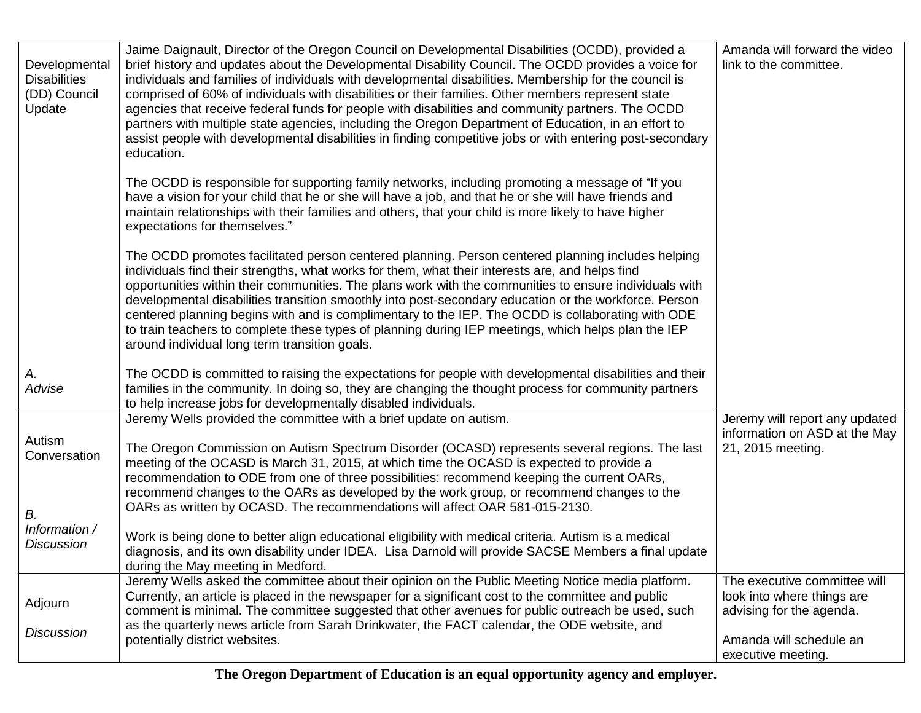| Developmental<br><b>Disabilities</b><br>(DD) Council<br>Update | Jaime Daignault, Director of the Oregon Council on Developmental Disabilities (OCDD), provided a<br>brief history and updates about the Developmental Disability Council. The OCDD provides a voice for<br>individuals and families of individuals with developmental disabilities. Membership for the council is<br>comprised of 60% of individuals with disabilities or their families. Other members represent state<br>agencies that receive federal funds for people with disabilities and community partners. The OCDD<br>partners with multiple state agencies, including the Oregon Department of Education, in an effort to<br>assist people with developmental disabilities in finding competitive jobs or with entering post-secondary<br>education. | Amanda will forward the video<br>link to the committee.                                |
|----------------------------------------------------------------|-----------------------------------------------------------------------------------------------------------------------------------------------------------------------------------------------------------------------------------------------------------------------------------------------------------------------------------------------------------------------------------------------------------------------------------------------------------------------------------------------------------------------------------------------------------------------------------------------------------------------------------------------------------------------------------------------------------------------------------------------------------------|----------------------------------------------------------------------------------------|
|                                                                | The OCDD is responsible for supporting family networks, including promoting a message of "If you<br>have a vision for your child that he or she will have a job, and that he or she will have friends and<br>maintain relationships with their families and others, that your child is more likely to have higher<br>expectations for themselves."                                                                                                                                                                                                                                                                                                                                                                                                              |                                                                                        |
|                                                                | The OCDD promotes facilitated person centered planning. Person centered planning includes helping<br>individuals find their strengths, what works for them, what their interests are, and helps find<br>opportunities within their communities. The plans work with the communities to ensure individuals with<br>developmental disabilities transition smoothly into post-secondary education or the workforce. Person<br>centered planning begins with and is complimentary to the IEP. The OCDD is collaborating with ODE<br>to train teachers to complete these types of planning during IEP meetings, which helps plan the IEP<br>around individual long term transition goals.                                                                            |                                                                                        |
| А.<br>Advise                                                   | The OCDD is committed to raising the expectations for people with developmental disabilities and their<br>families in the community. In doing so, they are changing the thought process for community partners<br>to help increase jobs for developmentally disabled individuals.                                                                                                                                                                                                                                                                                                                                                                                                                                                                               |                                                                                        |
| Autism<br>Conversation<br>В.                                   | Jeremy Wells provided the committee with a brief update on autism.<br>The Oregon Commission on Autism Spectrum Disorder (OCASD) represents several regions. The last<br>meeting of the OCASD is March 31, 2015, at which time the OCASD is expected to provide a<br>recommendation to ODE from one of three possibilities: recommend keeping the current OARs,<br>recommend changes to the OARs as developed by the work group, or recommend changes to the<br>OARs as written by OCASD. The recommendations will affect OAR 581-015-2130.                                                                                                                                                                                                                      | Jeremy will report any updated<br>information on ASD at the May<br>21, 2015 meeting.   |
| Information /<br><b>Discussion</b>                             | Work is being done to better align educational eligibility with medical criteria. Autism is a medical<br>diagnosis, and its own disability under IDEA. Lisa Darnold will provide SACSE Members a final update<br>during the May meeting in Medford.                                                                                                                                                                                                                                                                                                                                                                                                                                                                                                             |                                                                                        |
| Adjourn<br><b>Discussion</b>                                   | Jeremy Wells asked the committee about their opinion on the Public Meeting Notice media platform.<br>Currently, an article is placed in the newspaper for a significant cost to the committee and public<br>comment is minimal. The committee suggested that other avenues for public outreach be used, such<br>as the quarterly news article from Sarah Drinkwater, the FACT calendar, the ODE website, and                                                                                                                                                                                                                                                                                                                                                    | The executive committee will<br>look into where things are<br>advising for the agenda. |
|                                                                | potentially district websites.                                                                                                                                                                                                                                                                                                                                                                                                                                                                                                                                                                                                                                                                                                                                  | Amanda will schedule an<br>executive meeting.                                          |